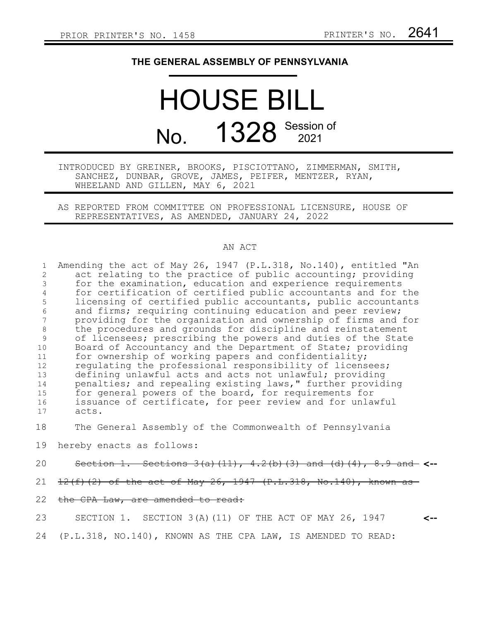## **THE GENERAL ASSEMBLY OF PENNSYLVANIA**

## HOUSE BILL No. 1328 Session of

## INTRODUCED BY GREINER, BROOKS, PISCIOTTANO, ZIMMERMAN, SMITH, SANCHEZ, DUNBAR, GROVE, JAMES, PEIFER, MENTZER, RYAN, WHEELAND AND GILLEN, MAY 6, 2021

AS REPORTED FROM COMMITTEE ON PROFESSIONAL LICENSURE, HOUSE OF REPRESENTATIVES, AS AMENDED, JANUARY 24, 2022

## AN ACT

|    | Amending the act of May 26, 1947 (P.L.318, No.140), entitled "An |
|----|------------------------------------------------------------------|
|    | act relating to the practice of public accounting; providing     |
|    | for the examination, education and experience requirements       |
|    | for certification of certified public accountants and for the    |
| 5. | licensing of certified public accountants, public accountants    |
| 6  | and firms; requiring continuing education and peer review;       |
|    | providing for the organization and ownership of firms and for    |
| 8  | the procedures and grounds for discipline and reinstatement      |
| 9  | of licensees; prescribing the powers and duties of the State     |
| 10 | Board of Accountancy and the Department of State; providing      |
| 11 | for ownership of working papers and confidentiality;             |
| 12 | requlating the professional responsibility of licensees;         |
| 13 | defining unlawful acts and acts not unlawful; providing          |
| 14 | penalties; and repealing existing laws," further providing       |
| 15 | for general powers of the board, for requirements for            |
| 16 | issuance of certificate, for peer review and for unlawful        |
| 17 | acts.                                                            |
|    |                                                                  |

The General Assembly of the Commonwealth of Pennsylvania 18

hereby enacts as follows: 19

- Section 1. Sections 3(a)(11), 4.2(b)(3) and (d)(4), 8.9 and **<--** 20
- $12(f)$  (2) of the act of May 26, 1947 (P.L.318, No.140), known as 21
- the CPA Law, are amended to read: 22

SECTION 1. SECTION 3(A)(11) OF THE ACT OF MAY 26, 1947 (P.L.318, NO.140), KNOWN AS THE CPA LAW, IS AMENDED TO READ: **<--** 23 24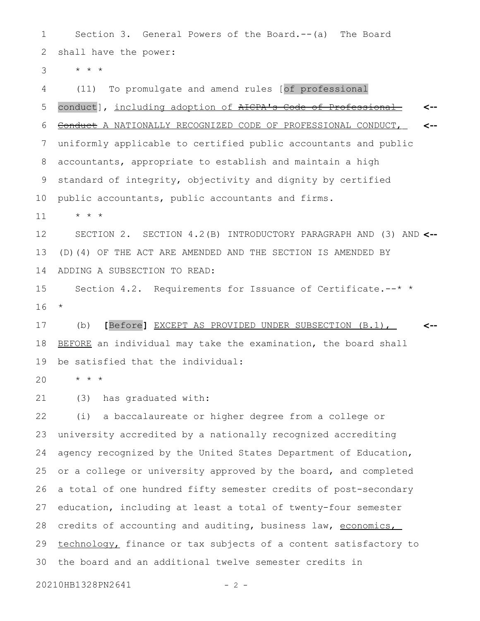Section 3. General Powers of the Board.--(a) The Board shall have the power: 1 2

\* \* \* 3

(11) To promulgate and amend rules [of professional conduct], including adoption of AICPA's Code of Professional Conduct A NATIONALLY RECOGNIZED CODE OF PROFESSIONAL CONDUCT, uniformly applicable to certified public accountants and public accountants, appropriate to establish and maintain a high standard of integrity, objectivity and dignity by certified public accountants, public accountants and firms. **<-- <--** 4 5 6 7 8 9 10

\* \* \* 11

SECTION 2. SECTION 4.2(B) INTRODUCTORY PARAGRAPH AND (3) AND **<--** (D)(4) OF THE ACT ARE AMENDED AND THE SECTION IS AMENDED BY ADDING A SUBSECTION TO READ: 12 13 14

Section 4.2. Requirements for Issuance of Certificate.--\* \* \* 15 16

(b) **[**Before**]** EXCEPT AS PROVIDED UNDER SUBSECTION (B.1), BEFORE an individual may take the examination, the board shall be satisfied that the individual: **<--** 17 18 19

\* \* \* 20

(3) has graduated with: 21

(i) a baccalaureate or higher degree from a college or university accredited by a nationally recognized accrediting agency recognized by the United States Department of Education, or a college or university approved by the board, and completed a total of one hundred fifty semester credits of post-secondary education, including at least a total of twenty-four semester credits of accounting and auditing, business law, economics, technology, finance or tax subjects of a content satisfactory to the board and an additional twelve semester credits in 22 23 24 25 26 27 28 29 30

20210HB1328PN2641 - 2 -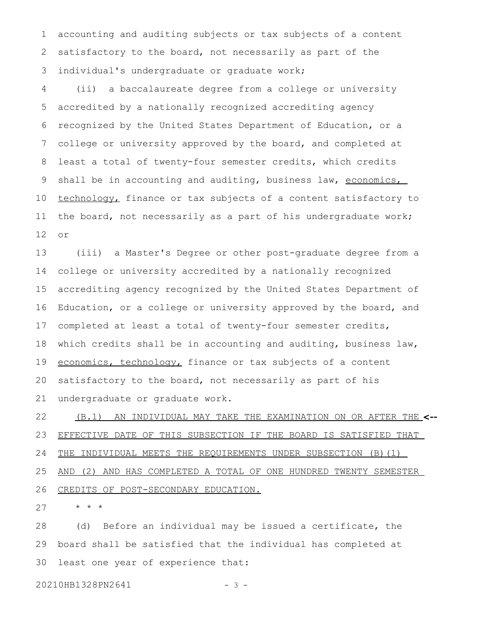accounting and auditing subjects or tax subjects of a content satisfactory to the board, not necessarily as part of the individual's undergraduate or graduate work; 1 2 3

(ii) a baccalaureate degree from a college or university accredited by a nationally recognized accrediting agency recognized by the United States Department of Education, or a college or university approved by the board, and completed at least a total of twenty-four semester credits, which credits shall be in accounting and auditing, business law, economics, technology, finance or tax subjects of a content satisfactory to the board, not necessarily as a part of his undergraduate work; or 4 5 6 7 8 9 10 11 12

(iii) a Master's Degree or other post-graduate degree from a college or university accredited by a nationally recognized accrediting agency recognized by the United States Department of Education, or a college or university approved by the board, and completed at least a total of twenty-four semester credits, which credits shall be in accounting and auditing, business law, economics, technology, finance or tax subjects of a content satisfactory to the board, not necessarily as part of his undergraduate or graduate work. 13 14 15 16 17 18 19 20 21

(B.1) AN INDIVIDUAL MAY TAKE THE EXAMINATION ON OR AFTER THE **<--** EFFECTIVE DATE OF THIS SUBSECTION IF THE BOARD IS SATISFIED THAT THE INDIVIDUAL MEETS THE REQUIREMENTS UNDER SUBSECTION (B)(1) AND (2) AND HAS COMPLETED A TOTAL OF ONE HUNDRED TWENTY SEMESTER CREDITS OF POST-SECONDARY EDUCATION. 22 23 24 25 26

\* \* \* 27

(d) Before an individual may be issued a certificate, the board shall be satisfied that the individual has completed at least one year of experience that: 28 29 30

20210HB1328PN2641 - 3 -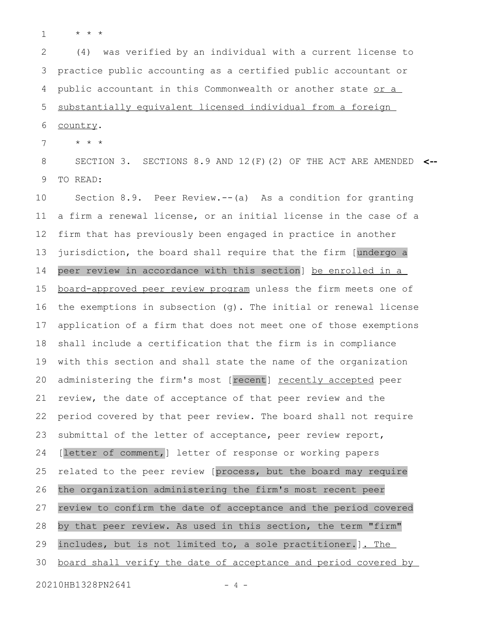\* \* \* 1

(4) was verified by an individual with a current license to practice public accounting as a certified public accountant or public accountant in this Commonwealth or another state or a substantially equivalent licensed individual from a foreign country. 2 3 4 5 6

\* \* \* 7

SECTION 3. SECTIONS 8.9 AND 12(F)(2) OF THE ACT ARE AMENDED **<--** TO READ: 8 9

Section 8.9. Peer Review.--(a) As a condition for granting a firm a renewal license, or an initial license in the case of a firm that has previously been engaged in practice in another jurisdiction, the board shall require that the firm [undergo a peer review in accordance with this section] be enrolled in a board-approved peer review program unless the firm meets one of the exemptions in subsection (g). The initial or renewal license application of a firm that does not meet one of those exemptions shall include a certification that the firm is in compliance with this section and shall state the name of the organization administering the firm's most [recent] recently accepted peer review, the date of acceptance of that peer review and the period covered by that peer review. The board shall not require submittal of the letter of acceptance, peer review report, [letter of comment,] letter of response or working papers related to the peer review [process, but the board may require the organization administering the firm's most recent peer review to confirm the date of acceptance and the period covered by that peer review. As used in this section, the term "firm" includes, but is not limited to, a sole practitioner.]. The board shall verify the date of acceptance and period covered by 20210HB1328PN2641 - 4 -10 11 12 13 14 15 16 17 18 19 20 21 22 23 24 25 26 27 28 29 30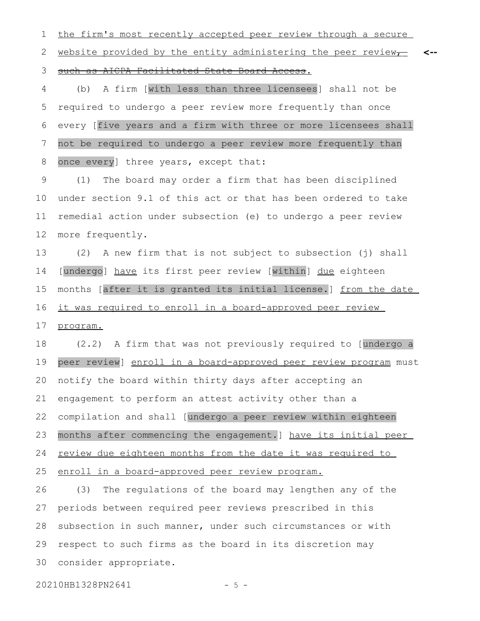the firm's most recently accepted peer review through a secure 1

website provided by the entity administering the peer review $\tau$ **<--** 2

such as AICPA Facilitated State Board Access. 3

(b) A firm [with less than three licensees] shall not be required to undergo a peer review more frequently than once every [five years and a firm with three or more licensees shall not be required to undergo a peer review more frequently than once every] three years, except that: 4 5 6 7 8

(1) The board may order a firm that has been disciplined under section 9.1 of this act or that has been ordered to take remedial action under subsection (e) to undergo a peer review more frequently. 9 10 11 12

(2) A new firm that is not subject to subsection (j) shall [undergo] have its first peer review [within] due eighteen months [after it is granted its initial license.] from the date it was required to enroll in a board-approved peer review program. 13 14 15 16 17

(2.2) A firm that was not previously required to [undergo a peer review] enroll in a board-approved peer review program must notify the board within thirty days after accepting an engagement to perform an attest activity other than a compilation and shall [undergo a peer review within eighteen months after commencing the engagement.] have its initial peer review due eighteen months from the date it was required to 18 19 20 21 22 23 24

enroll in a board-approved peer review program. 25

(3) The regulations of the board may lengthen any of the periods between required peer reviews prescribed in this subsection in such manner, under such circumstances or with respect to such firms as the board in its discretion may consider appropriate. 26 27 28 29 30

20210HB1328PN2641 - 5 -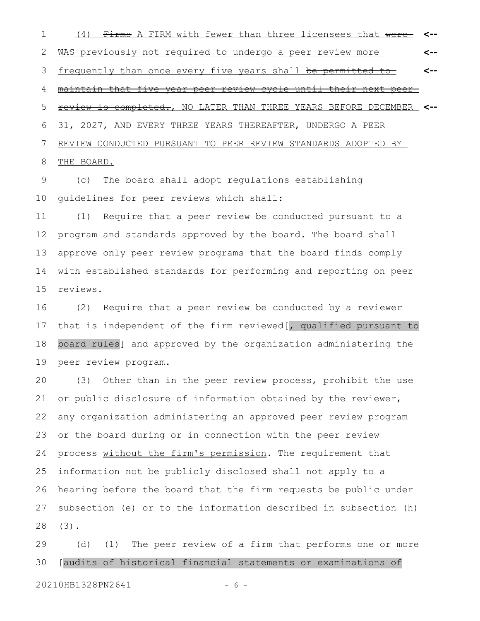(4) Firms A FIRM with fewer than three licensees that were WAS previously not required to undergo a peer review more frequently than once every five years shall be permitted to maintain that five-year peer review cycle until their next peer review is completed., NO LATER THAN THREE YEARS BEFORE DECEMBER **<--** 31, 2027, AND EVERY THREE YEARS THEREAFTER, UNDERGO A PEER REVIEW CONDUCTED PURSUANT TO PEER REVIEW STANDARDS ADOPTED BY THE BOARD. **<-- <-- <--** 1 2 3 4 5 6 7 8

(c) The board shall adopt regulations establishing guidelines for peer reviews which shall: 9 10

(1) Require that a peer review be conducted pursuant to a program and standards approved by the board. The board shall approve only peer review programs that the board finds comply with established standards for performing and reporting on peer reviews. 11 12 13 14 15

(2) Require that a peer review be conducted by a reviewer that is independent of the firm reviewed[, qualified pursuant to board rules] and approved by the organization administering the peer review program. 16 17 18 19

(3) Other than in the peer review process, prohibit the use or public disclosure of information obtained by the reviewer, any organization administering an approved peer review program or the board during or in connection with the peer review process without the firm's permission. The requirement that information not be publicly disclosed shall not apply to a hearing before the board that the firm requests be public under subsection (e) or to the information described in subsection (h) (3). 20 21 22 23 24 25 26 27 28

(d) (1) The peer review of a firm that performs one or more [audits of historical financial statements or examinations of 20210HB1328PN2641 - 6 -29 30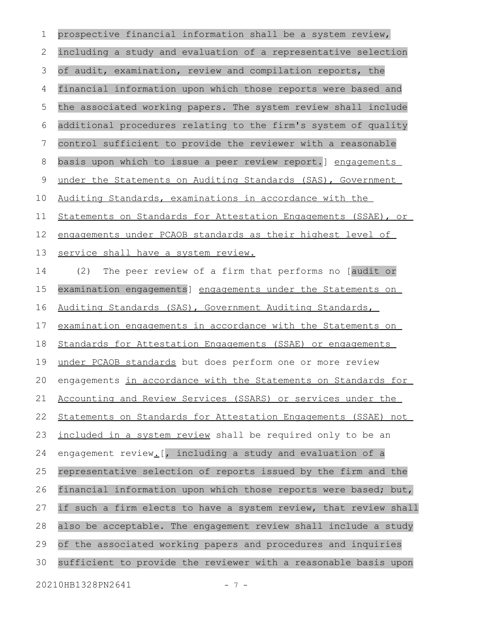prospective financial information shall be a system review, including a study and evaluation of a representative selection of audit, examination, review and compilation reports, the financial information upon which those reports were based and the associated working papers. The system review shall include additional procedures relating to the firm's system of quality control sufficient to provide the reviewer with a reasonable basis upon which to issue a peer review report.] engagements under the Statements on Auditing Standards (SAS), Government Auditing Standards, examinations in accordance with the Statements on Standards for Attestation Engagements (SSAE) , or engagements under PCAOB standards as their highest level of service shall have a system review. (2) The peer review of a firm that performs no [audit or examination engagements] engagements under the Statements on Auditing Standards (SAS), Government Auditing Standards, examination engagements in accordance with the Statements on Standards for Attestation Engagements (SSAE) or engagements under PCAOB standards but does perform one or more review engagements in accordance with the Statements on Standards for Accounting and Review Services (SSARS) or services under the Statements on Standards for Attestation Engagements (SSAE) not included in a system review shall be required only to be an engagement review<sub>-[</sub>, including a study and evaluation of a representative selection of reports issued by the firm and the financial information upon which those reports were based; but, if such a firm elects to have a system review, that review shall also be acceptable. The engagement review shall include a study of the associated working papers and procedures and inquiries sufficient to provide the reviewer with a reasonable basis upon 20210HB1328PN2641 - 7 -1 2 3 4 5 6 7 8 9 10 11 12 13 14 15 16 17 18 19 20 21 22 23 24 25 26 27 28 29 30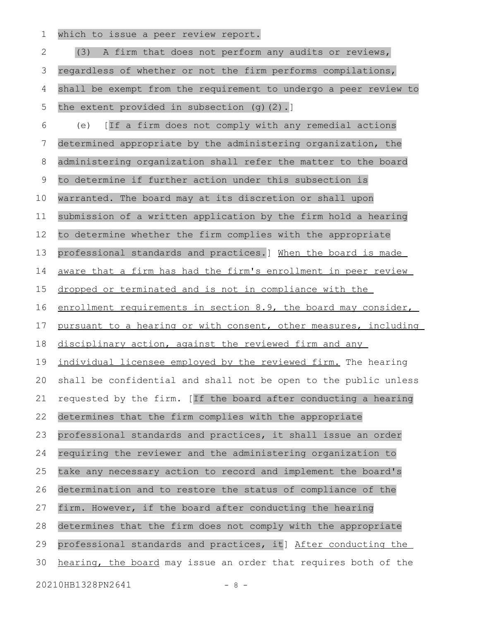which to issue a peer review report. 1

(3) A firm that does not perform any audits or reviews, regardless of whether or not the firm performs compilations, shall be exempt from the requirement to undergo a peer review to the extent provided in subsection (g)(2).] (e) [If a firm does not comply with any remedial actions determined appropriate by the administering organization, the administering organization shall refer the matter to the board to determine if further action under this subsection is warranted. The board may at its discretion or shall upon submission of a written application by the firm hold a hearing to determine whether the firm complies with the appropriate professional standards and practices.] When the board is made aware that a firm has had the firm's enrollment in peer review dropped or terminated and is not in compliance with the enrollment requirements in section 8.9, the board may consider, pursuant to a hearing or with consent, other measures, including disciplinary action, against the reviewed firm and any individual licensee employed by the reviewed firm. The hearing shall be confidential and shall not be open to the public unless requested by the firm. [If the board after conducting a hearing determines that the firm complies with the appropriate professional standards and practices, it shall issue an order requiring the reviewer and the administering organization to take any necessary action to record and implement the board's determination and to restore the status of compliance of the firm. However, if the board after conducting the hearing determines that the firm does not comply with the appropriate professional standards and practices, it] After conducting the hearing, the board may issue an order that requires both of the 20210HB1328PN2641 - 8 -2 3 4 5 6 7 8 9 10 11 12 13 14 15 16 17 18 19 20 21 22 23 24 25 26 27 28 29 30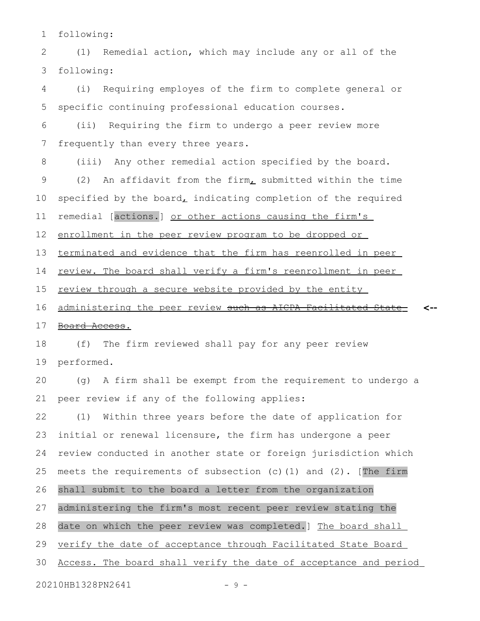following: 1

(1) Remedial action, which may include any or all of the following: 2 3

(i) Requiring employes of the firm to complete general or specific continuing professional education courses. 4 5

(ii) Requiring the firm to undergo a peer review more frequently than every three years. 6 7

(iii) Any other remedial action specified by the board. (2) An affidavit from the firm, submitted within the time specified by the board $<sub>L</sub>$  indicating completion of the required</sub> remedial [actions.] or other actions causing the firm's enrollment in the peer review program to be dropped or terminated and evidence that the firm has reenrolled in peer review. The board shall verify a firm's reenrollment in peer review through a secure website provided by the entity administering the peer review such as AICPA Facilitated State Board Access. **<--** 8 9 10 11 12 13 14 15 16 17

(f) The firm reviewed shall pay for any peer review performed. 18 19

(g) A firm shall be exempt from the requirement to undergo a peer review if any of the following applies: 20 21

(1) Within three years before the date of application for initial or renewal licensure, the firm has undergone a peer review conducted in another state or foreign jurisdiction which meets the requirements of subsection (c)(1) and (2). [The firm shall submit to the board a letter from the organization administering the firm's most recent peer review stating the date on which the peer review was completed.] The board shall verify the date of acceptance through Facilitated State Board Access. The board shall verify the date of acceptance and period 22 23 24 25 26 27 28 29 30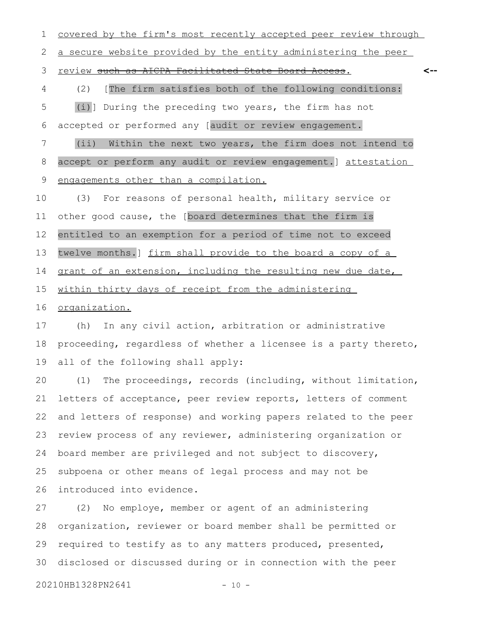covered by the firm's most recently accepted peer review through a secure website provided by the entity administering the peer review such as AICPA Facilitated State Board Access. (2) [The firm satisfies both of the following conditions: (i)] During the preceding two years, the firm has not accepted or performed any [audit or review engagement. (ii) Within the next two years, the firm does not intend to accept or perform any audit or review engagement.] attestation engagements other than a compilation. (3) For reasons of personal health, military service or other good cause, the [board determines that the firm is entitled to an exemption for a period of time not to exceed **<--** 1 2 3 4 5 6 7 8 9 10 11 12

twelve months.] firm shall provide to the board a copy of a 13

grant of an extension, including the resulting new due date, 14

within thirty days of receipt from the administering 15

organization. 16

(h) In any civil action, arbitration or administrative proceeding, regardless of whether a licensee is a party thereto, all of the following shall apply: 17 18 19

(1) The proceedings, records (including, without limitation, letters of acceptance, peer review reports, letters of comment and letters of response) and working papers related to the peer review process of any reviewer, administering organization or board member are privileged and not subject to discovery, subpoena or other means of legal process and may not be introduced into evidence. 20 21 22 23 24 25 26

(2) No employe, member or agent of an administering organization, reviewer or board member shall be permitted or required to testify as to any matters produced, presented, disclosed or discussed during or in connection with the peer 27 28 29 30

20210HB1328PN2641 - 10 -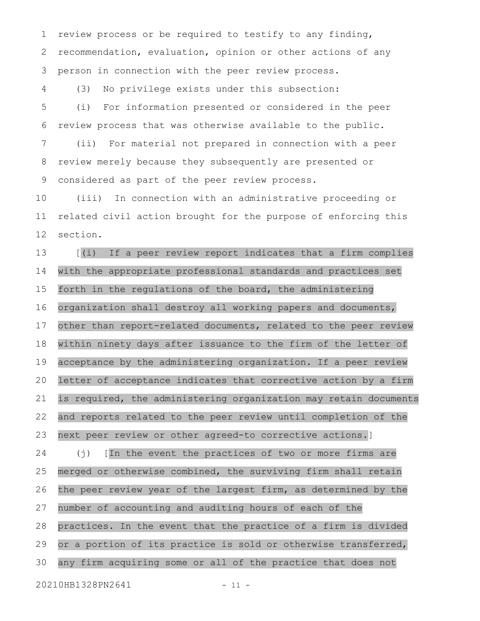review process or be required to testify to any finding, recommendation, evaluation, opinion or other actions of any person in connection with the peer review process. 1 2 3

(3) No privilege exists under this subsection: 4

(i) For information presented or considered in the peer review process that was otherwise available to the public. (ii) For material not prepared in connection with a peer review merely because they subsequently are presented or considered as part of the peer review process. 5 6 7 8 9

(iii) In connection with an administrative proceeding or related civil action brought for the purpose of enforcing this section. 10 11 12

[(i) If a peer review report indicates that a firm complies with the appropriate professional standards and practices set forth in the regulations of the board, the administering organization shall destroy all working papers and documents, other than report-related documents, related to the peer review within ninety days after issuance to the firm of the letter of acceptance by the administering organization. If a peer review letter of acceptance indicates that corrective action by a firm is required, the administering organization may retain documents and reports related to the peer review until completion of the next peer review or other agreed-to corrective actions.] (j) [In the event the practices of two or more firms are merged or otherwise combined, the surviving firm shall retain the peer review year of the largest firm, as determined by the 13 14 15 16 17 18 19 20 21 22 23 24 25 26

practices. In the event that the practice of a firm is divided or a portion of its practice is sold or otherwise transferred, any firm acquiring some or all of the practice that does not 28 29 30

number of accounting and auditing hours of each of the

20210HB1328PN2641 - 11 -

27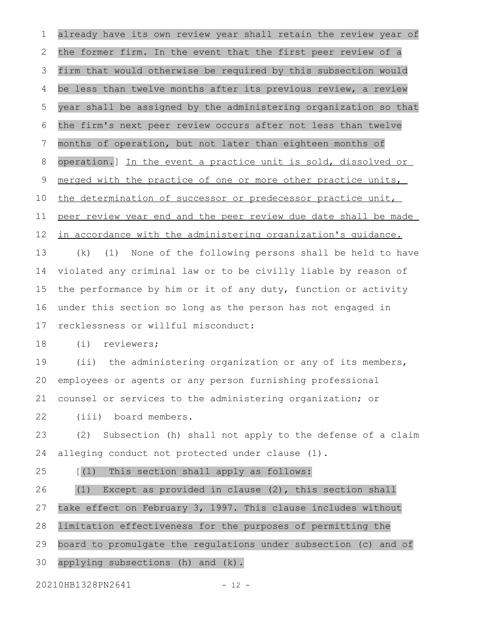already have its own review year shall retain the review year of the former firm. In the event that the first peer review of a firm that would otherwise be required by this subsection would be less than twelve months after its previous review, a review year shall be assigned by the administering organization so that the firm's next peer review occurs after not less than twelve months of operation, but not later than eighteen months of operation.] In the event a practice unit is sold, dissolved or merged with the practice of one or more other practice units, the determination of successor or predecessor practice unit, peer review year end and the peer review due date shall be made in accordance with the administering organization's quidance. (k) (1) None of the following persons shall be held to have violated any criminal law or to be civilly liable by reason of the performance by him or it of any duty, function or activity under this section so long as the person has not engaged in recklessness or willful misconduct: (i) reviewers; (ii) the administering organization or any of its members, employees or agents or any person furnishing professional counsel or services to the administering organization; or (iii) board members. (2) Subsection (h) shall not apply to the defense of a claim alleging conduct not protected under clause (1). [(l) This section shall apply as follows: (1) Except as provided in clause (2), this section shall take effect on February 3, 1997. This clause includes without limitation effectiveness for the purposes of permitting the board to promulgate the regulations under subsection (c) and of applying subsections (h) and (k). 20210HB1328PN2641 - 12 -1 2 3 4 5 6 7 8 9 10 11 12 13 14 15 16 17 18 19 20 21 22 23 24 25 26 27 28 29 30